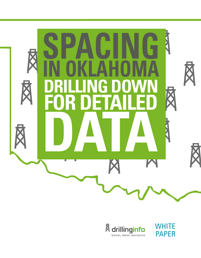



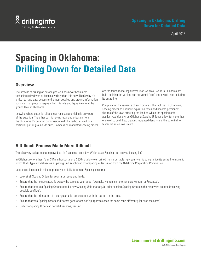

# **Spacing in Oklahoma: Drilling Down for Detailed Data**

#### **Overview**

The process of drilling an oil and gas well has never been more technologically driven or financially risky than it is now. That's why it's critical to have easy access to the most detailed and precise information possible. That process begins – both literally and figuratively – at the ground level in Oklahoma.

Knowing where potential oil and gas reserves are hiding is only part of the equation. The other part is having legal authorization from the Oklahoma Corporation Commission to drill a particular well on a particular plot of ground. As such, Commission-mandated spacing orders

are the foundational legal layer upon which all wells in Oklahoma are built, defining the vertical and horizontal "box" that a well lives in during its entire life.

Complicating the issuance of such orders is the fact that in Oklahoma, spacing orders do not have expiration dates and become permanent fixtures of the laws affecting the land on which the spacing order applies. Additionally, an Oklahoma Spacing Unit can allow for more than one well to be drilled, creating increased density and the potential for faster return on investment.

## **A Difficult Process Made More Difficult**

There's a very typical scenario played out in Oklahoma every day: Which exact Spacing Unit are you looking for?

In Oklahoma – whether it's an \$11mm horizontal or a \$200k shallow well drilled from a portable rig – your well is going to live its entire life in a unit or box that's typically defined as a Spacing Unit sanctioned by a Spacing order issued from the Oklahoma Corporation Commission.

Keep these functions in mind to properly and fully determine Spacing concerns:

- Look at all Spacing Orders for your target zone and lands.
- Ensure that the nomenclature is exactly the same as your target (example: Hunton isn't the same as Hunton 1st Repeated).
- Ensure that before a Spacing Order created a new Spacing Unit, that any/all prior existing Spacing Orders in the zone were deleted (resolving possible conflicts).
- **Ensure that the orientation of rectangular units is consistent with the pattern in the area.**
- Ensure that two Spacing Orders of different generations don't purport to space the same zone differently (or even the same).
- Only one Spacing Order can be valid per zone, per unit.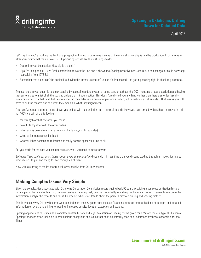

April 2018

Let's say that you're working the land on a prospect and trying to determine if some of the mineral ownership is held by production. In Oklahoma – after you confirm that the unit well is still producing – what are the first things to do?

- Determine your boundaries. How big is the unit?
- If you're using an old 1002a (well completion) to work the unit and it shows the Spacing Order Number, check it. It can change, or could be wrong (especially from 1978-82).
- Remember that a unit can't be pooled (i.e. having the interests secured) unless it's first spaced so getting spacing right is absolutely essential.

The next step in your quest is to check spacing by accessing a data system of some sort, or perhaps the OCC, inputting a legal description and having that system create a list of all the spacing orders that hit your section. This doesn't really tell you anything – other than there's an order (usually numerous orders) on that land that ties to a specific zone. Maybe it's online, or perhaps a call-in, but in reality, it's just an index. That means you still have to pull the records and see what they mean. Or, what they might mean.

After you've run all the traps listed above, you end up with just an index and a stack of records. However, even armed with such an index, you're still not 100% certain of the following:

- the strength of that one order you found
- how it fits together with the other orders
- whether it is downstream (an extension of a flawed/conflicted order)
- whether it creates a conflict itself
- whether it has nomenclature issues and really doesn't space your unit at all

So, you settle for the data you can get because, well, you need to move forward.

But what if you could get every index correct every single time? And could do it in less time than you'd spend wading through an index, figuring out what records to pull and trying to read through all of them?

Now you're starting to realize the true value you receive from Oil-Law Records.

### **Making Complex Issues Very Simple**

Given the complexities associated with Oklahoma Corporation Commission records going back 90 years, providing a complete unitization history for any particular parcel of land in Oklahoma can be a daunting task; one that potentially would require hours and hours of research to acquire the information, analyze the records and faithfully provide exhaustive details about the parcel's previous drilling and spacing history.

This is precisely why Oil-Law Records was founded more than 60 years ago: because Oklahoma statutes require this kind of in-depth and detailed information on every single filing for pooling, increased density, location exception and spacing.

Spacing applications must include a complete written history and legal evaluation of spacing for the given zone. What's more, a typical Oklahoma Spacing Order can often include numerous unique exceptions and issues that must be carefully read and understood by those responsible for the filings.